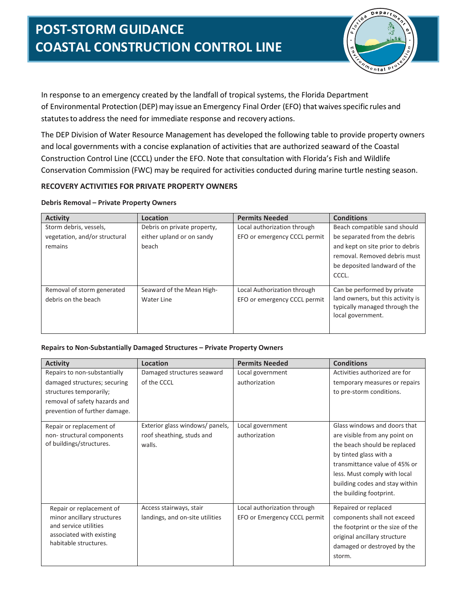

In response to an emergency created by the landfall of tropical systems, the Florida Department of Environmental Protection (DEP) may issue an Emergency Final Order (EFO) that waives specific rules and statutes to address the need for immediate response and recovery actions.

The DEP Division of Water Resource Management has developed the following table to provide property owners and local governments with a concise explanation of activities that are authorized seaward of the Coastal Construction Control Line (CCCL) under the EFO. Note that consultation with Florida's Fish and Wildlife Conservation Commission (FWC) may be required for activities conducted during marine turtle nesting season.

## **RECOVERY ACTIVITIES FOR PRIVATE PROPERTY OWNERS**

## **Debris Removal – Private Property Owners**

| <b>Activity</b>               | Location                    | <b>Permits Needed</b>        | <b>Conditions</b>                                                                       |
|-------------------------------|-----------------------------|------------------------------|-----------------------------------------------------------------------------------------|
| Storm debris, vessels,        | Debris on private property, | Local authorization through  | Beach compatible sand should                                                            |
| vegetation, and/or structural | either upland or on sandy   | EFO or emergency CCCL permit | be separated from the debris                                                            |
| remains                       | beach                       |                              | and kept on site prior to debris                                                        |
|                               |                             |                              | removal. Removed debris must                                                            |
|                               |                             |                              | be deposited landward of the                                                            |
|                               |                             |                              | CCCL.                                                                                   |
| Removal of storm generated    | Seaward of the Mean High-   | Local Authorization through  | Can be performed by private                                                             |
| debris on the beach           | Water Line                  | EFO or emergency CCCL permit | land owners, but this activity is<br>typically managed through the<br>local government. |

## **Repairs to Non-Substantially Damaged Structures – Private Property Owners**

| <b>Activity</b>               | Location                        | <b>Permits Needed</b>        | <b>Conditions</b>                |
|-------------------------------|---------------------------------|------------------------------|----------------------------------|
| Repairs to non-substantially  | Damaged structures seaward      | Local government             | Activities authorized are for    |
| damaged structures; securing  | of the CCCL                     | authorization                | temporary measures or repairs    |
| structures temporarily;       |                                 |                              | to pre-storm conditions.         |
| removal of safety hazards and |                                 |                              |                                  |
| prevention of further damage. |                                 |                              |                                  |
| Repair or replacement of      | Exterior glass windows/ panels, | Local government             | Glass windows and doors that     |
| non-structural components     | roof sheathing, studs and       | authorization                | are visible from any point on    |
| of buildings/structures.      | walls.                          |                              | the beach should be replaced     |
|                               |                                 |                              | by tinted glass with a           |
|                               |                                 |                              | transmittance value of 45% or    |
|                               |                                 |                              | less. Must comply with local     |
|                               |                                 |                              | building codes and stay within   |
|                               |                                 |                              | the building footprint.          |
| Repair or replacement of      | Access stairways, stair         | Local authorization through  | Repaired or replaced             |
| minor ancillary structures    | landings, and on-site utilities | EFO or Emergency CCCL permit | components shall not exceed      |
| and service utilities         |                                 |                              | the footprint or the size of the |
| associated with existing      |                                 |                              | original ancillary structure     |
| habitable structures.         |                                 |                              | damaged or destroyed by the      |
|                               |                                 |                              | storm.                           |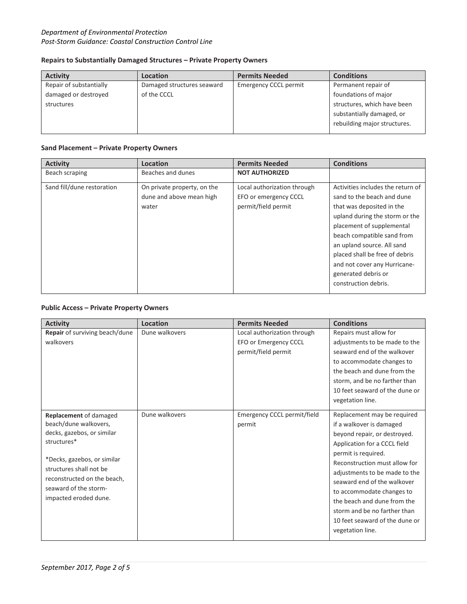## *Department of Environmental Protection Post-Storm Guidance: Coastal Construction Control Line*

### **Repairs to Substantially Damaged Structures – Private Property Owners**

| <b>Activity</b>         | <b>Location</b>            | <b>Permits Needed</b>        | <b>Conditions</b>            |
|-------------------------|----------------------------|------------------------------|------------------------------|
| Repair of substantially | Damaged structures seaward | <b>Emergency CCCL permit</b> | Permanent repair of          |
| damaged or destroyed    | of the CCCL                |                              | foundations of major         |
| structures              |                            |                              | structures, which have been  |
|                         |                            |                              | substantially damaged, or    |
|                         |                            |                              | rebuilding major structures. |
|                         |                            |                              |                              |

### **Sand Placement – Private Property Owners**

| <b>Activity</b>            | Location                    | <b>Permits Needed</b>       | <b>Conditions</b>                 |
|----------------------------|-----------------------------|-----------------------------|-----------------------------------|
| Beach scraping             | Beaches and dunes           | <b>NOT AUTHORIZED</b>       |                                   |
| Sand fill/dune restoration | On private property, on the | Local authorization through | Activities includes the return of |
|                            | dune and above mean high    | EFO or emergency CCCL       | sand to the beach and dune        |
|                            | water                       | permit/field permit         | that was deposited in the         |
|                            |                             |                             | upland during the storm or the    |
|                            |                             |                             | placement of supplemental         |
|                            |                             |                             | beach compatible sand from        |
|                            |                             |                             | an upland source. All sand        |
|                            |                             |                             | placed shall be free of debris    |
|                            |                             |                             | and not cover any Hurricane-      |
|                            |                             |                             | generated debris or               |
|                            |                             |                             | construction debris.              |
|                            |                             |                             |                                   |

## **Public Access – Private Property Owners**

| <b>Activity</b>                | <b>Location</b> | <b>Permits Needed</b>       | <b>Conditions</b>              |
|--------------------------------|-----------------|-----------------------------|--------------------------------|
| Repair of surviving beach/dune | Dune walkovers  | Local authorization through | Repairs must allow for         |
| walkovers                      |                 | EFO or Emergency CCCL       | adjustments to be made to the  |
|                                |                 | permit/field permit         | seaward end of the walkover    |
|                                |                 |                             | to accommodate changes to      |
|                                |                 |                             | the beach and dune from the    |
|                                |                 |                             | storm, and be no farther than  |
|                                |                 |                             | 10 feet seaward of the dune or |
|                                |                 |                             | vegetation line.               |
|                                |                 |                             |                                |
| Replacement of damaged         | Dune walkovers  | Emergency CCCL permit/field | Replacement may be required    |
| beach/dune walkovers,          |                 | permit                      | if a walkover is damaged       |
| decks, gazebos, or similar     |                 |                             | beyond repair, or destroyed.   |
| structures*                    |                 |                             | Application for a CCCL field   |
|                                |                 |                             | permit is required.            |
| *Decks, gazebos, or similar    |                 |                             | Reconstruction must allow for  |
| structures shall not be        |                 |                             | adjustments to be made to the  |
| reconstructed on the beach,    |                 |                             | seaward end of the walkover    |
| seaward of the storm-          |                 |                             | to accommodate changes to      |
| impacted eroded dune.          |                 |                             | the beach and dune from the    |
|                                |                 |                             | storm and be no farther than   |
|                                |                 |                             | 10 feet seaward of the dune or |
|                                |                 |                             | vegetation line.               |
|                                |                 |                             |                                |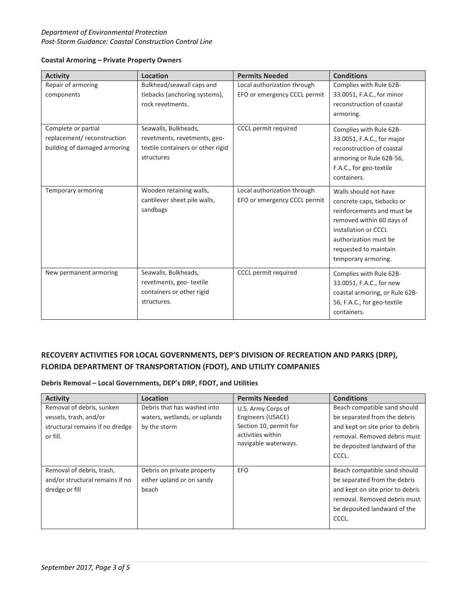## *Department of Environmental Protection Post-Storm Guidance: Coastal Construction Control Line*

| <b>Activity</b>              | Location                          | <b>Permits Needed</b>        | <b>Conditions</b>              |
|------------------------------|-----------------------------------|------------------------------|--------------------------------|
| Repair of armoring           | Bulkhead/seawall caps and         | Local authorization through  | Complies with Rule 62B-        |
| components                   | tiebacks (anchoring systems),     | EFO or emergency CCCL permit | 33.0051, F.A.C., for minor     |
|                              | rock revetments.                  |                              | reconstruction of coastal      |
|                              |                                   |                              | armoring.                      |
|                              |                                   |                              |                                |
| Complete or partial          | Seawalls, Bulkheads,              | CCCL permit required         | Complies with Rule 62B-        |
| replacement/reconstruction   | revetments, revetments, geo-      |                              | 33.0051, F.A.C., for major     |
| building of damaged armoring | textile containers or other rigid |                              | reconstruction of coastal      |
|                              | structures                        |                              | armoring or Rule 62B-56,       |
|                              |                                   |                              | F.A.C., for geo-textile        |
|                              |                                   |                              | containers.                    |
|                              |                                   |                              |                                |
| Temporary armoring           | Wooden retaining walls,           | Local authorization through  | Walls should not have          |
|                              | cantilever sheet pile walls,      | EFO or emergency CCCL permit | concrete caps, tiebacks or     |
|                              | sandbags                          |                              | reinforcements and must be     |
|                              |                                   |                              | removed within 60 days of      |
|                              |                                   |                              | installation or CCCL           |
|                              |                                   |                              | authorization must be          |
|                              |                                   |                              | requested to maintain          |
|                              |                                   |                              | temporary armoring.            |
| New permanent armoring       | Seawalls, Bulkheads,              | CCCL permit required         | Complies with Rule 62B-        |
|                              | revetments, geo-textile           |                              | 33.0051, F.A.C., for new       |
|                              | containers or other rigid         |                              | coastal armoring, or Rule 62B- |
|                              | structures.                       |                              | 56, F.A.C., for geo-textile    |
|                              |                                   |                              | containers.                    |
|                              |                                   |                              |                                |

### **Coastal Armoring – Private Property Owners**

# **RECOVERY ACTIVITIES FOR LOCAL GOVERNMENTS, DEP'S DIVISION OF RECREATION AND PARKS (DRP), FLORIDA DEPARTMENT OF TRANSPORTATION (FDOT), AND UTILITY COMPANIES**

## **Debris Removal – Local Governments, DEP's DRP, FDOT, and Utilities**

| <b>Activity</b>                                                                                    | Location                                                                    | <b>Permits Needed</b>                                                                                          | <b>Conditions</b>                                                                                                                                                         |
|----------------------------------------------------------------------------------------------------|-----------------------------------------------------------------------------|----------------------------------------------------------------------------------------------------------------|---------------------------------------------------------------------------------------------------------------------------------------------------------------------------|
| Removal of debris, sunken<br>vessels, trash, and/or<br>structural remains if no dredge<br>or fill. | Debris that has washed into<br>waters, wetlands, or uplands<br>by the storm | U.S. Army Corps of<br>Engineers (USACE)<br>Section 10, permit for<br>activities within<br>navigable waterways. | Beach compatible sand should<br>be separated from the debris<br>and kept on site prior to debris<br>removal. Removed debris must<br>be deposited landward of the<br>CCCL. |
| Removal of debris, trash,<br>and/or structural remains if no<br>dredge or fill                     | Debris on private property<br>either upland or on sandy<br>beach            | EFO                                                                                                            | Beach compatible sand should<br>be separated from the debris<br>and kept on site prior to debris<br>removal. Removed debris must<br>be deposited landward of the<br>CCCL. |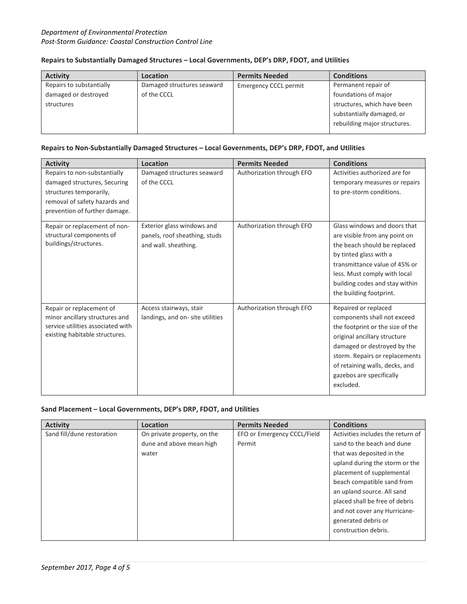## **Repairs to Substantially Damaged Structures – Local Governments, DEP's DRP, FDOT, and Utilities**

| <b>Activity</b>          | Location                   | <b>Permits Needed</b>        | <b>Conditions</b>            |
|--------------------------|----------------------------|------------------------------|------------------------------|
| Repairs to substantially | Damaged structures seaward | <b>Emergency CCCL permit</b> | Permanent repair of          |
| damaged or destroyed     | of the CCCL                |                              | foundations of major         |
| structures               |                            |                              | structures, which have been  |
|                          |                            |                              | substantially damaged, or    |
|                          |                            |                              | rebuilding major structures. |
|                          |                            |                              |                              |

### **Repairs to Non-Substantially Damaged Structures – Local Governments, DEP's DRP, FDOT, and Utilities**

| <b>Activity</b>                                                                                                                                           | Location                                                                            | <b>Permits Needed</b>     | <b>Conditions</b>                                                                                                                                                                                                                                                   |
|-----------------------------------------------------------------------------------------------------------------------------------------------------------|-------------------------------------------------------------------------------------|---------------------------|---------------------------------------------------------------------------------------------------------------------------------------------------------------------------------------------------------------------------------------------------------------------|
| Repairs to non-substantially<br>damaged structures, Securing<br>structures temporarily,<br>removal of safety hazards and<br>prevention of further damage. | Damaged structures seaward<br>of the CCCL                                           | Authorization through EFO | Activities authorized are for<br>temporary measures or repairs<br>to pre-storm conditions.                                                                                                                                                                          |
| Repair or replacement of non-<br>structural components of<br>buildings/structures.                                                                        | Exterior glass windows and<br>panels, roof sheathing, studs<br>and wall. sheathing. | Authorization through EFO | Glass windows and doors that<br>are visible from any point on<br>the beach should be replaced<br>by tinted glass with a<br>transmittance value of 45% or<br>less. Must comply with local<br>building codes and stay within<br>the building footprint.               |
| Repair or replacement of<br>minor ancillary structures and<br>service utilities associated with<br>existing habitable structures.                         | Access stairways, stair<br>landings, and on-site utilities                          | Authorization through EFO | Repaired or replaced<br>components shall not exceed<br>the footprint or the size of the<br>original ancillary structure<br>damaged or destroyed by the<br>storm. Repairs or replacements<br>of retaining walls, decks, and<br>gazebos are specifically<br>excluded. |

### **Sand Placement – Local Governments, DEP's DRP, FDOT, and Utilities**

| <b>Activity</b>            | Location                    | <b>Permits Needed</b>       | <b>Conditions</b>                 |
|----------------------------|-----------------------------|-----------------------------|-----------------------------------|
| Sand fill/dune restoration | On private property, on the | EFO or Emergency CCCL/Field | Activities includes the return of |
|                            | dune and above mean high    | Permit                      | sand to the beach and dune        |
|                            | water                       |                             | that was deposited in the         |
|                            |                             |                             | upland during the storm or the    |
|                            |                             |                             | placement of supplemental         |
|                            |                             |                             | beach compatible sand from        |
|                            |                             |                             | an upland source. All sand        |
|                            |                             |                             | placed shall be free of debris    |
|                            |                             |                             | and not cover any Hurricane-      |
|                            |                             |                             | generated debris or               |
|                            |                             |                             | construction debris.              |
|                            |                             |                             |                                   |